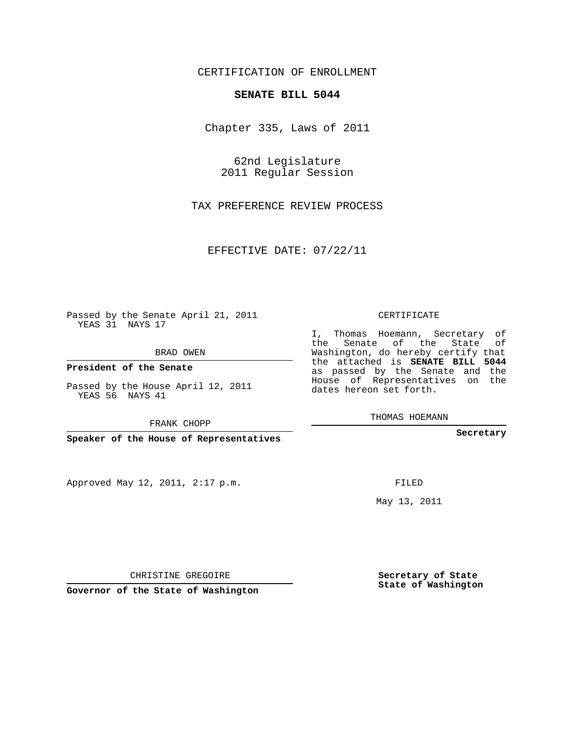## CERTIFICATION OF ENROLLMENT

## **SENATE BILL 5044**

Chapter 335, Laws of 2011

62nd Legislature 2011 Regular Session

TAX PREFERENCE REVIEW PROCESS

EFFECTIVE DATE: 07/22/11

Passed by the Senate April 21, 2011 YEAS 31 NAYS 17

BRAD OWEN

**President of the Senate**

Passed by the House April 12, 2011 YEAS 56 NAYS 41

FRANK CHOPP

**Speaker of the House of Representatives**

Approved May 12, 2011, 2:17 p.m.

CERTIFICATE

I, Thomas Hoemann, Secretary of the Senate of the State of Washington, do hereby certify that the attached is **SENATE BILL 5044** as passed by the Senate and the House of Representatives on the dates hereon set forth.

THOMAS HOEMANN

**Secretary**

FILED

May 13, 2011

CHRISTINE GREGOIRE

**Governor of the State of Washington**

**Secretary of State State of Washington**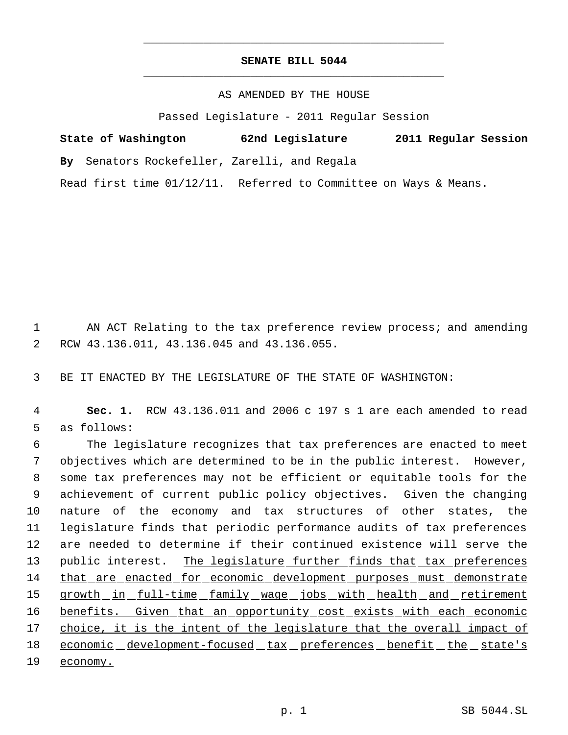## **SENATE BILL 5044** \_\_\_\_\_\_\_\_\_\_\_\_\_\_\_\_\_\_\_\_\_\_\_\_\_\_\_\_\_\_\_\_\_\_\_\_\_\_\_\_\_\_\_\_\_

\_\_\_\_\_\_\_\_\_\_\_\_\_\_\_\_\_\_\_\_\_\_\_\_\_\_\_\_\_\_\_\_\_\_\_\_\_\_\_\_\_\_\_\_\_

AS AMENDED BY THE HOUSE

Passed Legislature - 2011 Regular Session

| State of Washington                          | 62nd Legislature | 2011 Regular Session |  |
|----------------------------------------------|------------------|----------------------|--|
| By Senators Rockefeller, Zarelli, and Regala |                  |                      |  |

Read first time 01/12/11. Referred to Committee on Ways & Means.

1 AN ACT Relating to the tax preference review process; and amending 2 RCW 43.136.011, 43.136.045 and 43.136.055.

3 BE IT ENACTED BY THE LEGISLATURE OF THE STATE OF WASHINGTON:

 4 **Sec. 1.** RCW 43.136.011 and 2006 c 197 s 1 are each amended to read 5 as follows:

 The legislature recognizes that tax preferences are enacted to meet objectives which are determined to be in the public interest. However, some tax preferences may not be efficient or equitable tools for the achievement of current public policy objectives. Given the changing nature of the economy and tax structures of other states, the legislature finds that periodic performance audits of tax preferences are needed to determine if their continued existence will serve the 13 public interest. The legislature further finds that tax preferences that are enacted for economic development purposes must demonstrate 15 growth in full-time family wage jobs with health and retirement 16 benefits. Given that an opportunity cost exists with each economic choice, it is the intent of the legislature that the overall impact of 18 economic development-focused tax preferences benefit the state's 19 economy.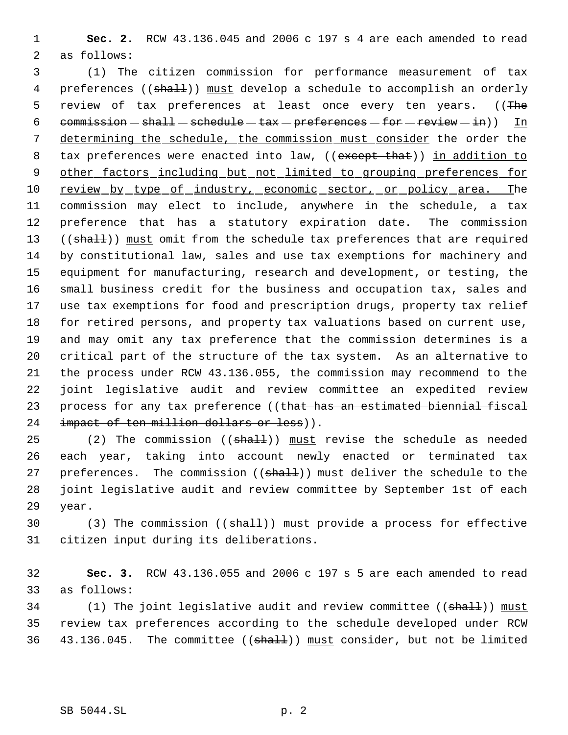1 **Sec. 2.** RCW 43.136.045 and 2006 c 197 s 4 are each amended to read 2 as follows:

 3 (1) The citizen commission for performance measurement of tax 4 preferences ((shall)) must develop a schedule to accomplish an orderly 5 review of tax preferences at least once every ten years. ((The 6 commission  $-\text{ shall}-\text{sehedule}-\text{tax}-\text{preferences}-\text{for}-\text{review}-\text{in})$ ) In 7 determining the schedule, the commission must consider the order the 8 tax preferences were enacted into law, ((except that)) in addition to 9 other factors including but not limited to grouping preferences for 10 review by type of industry, economic sector, or policy area. The 11 commission may elect to include, anywhere in the schedule, a tax 12 preference that has a statutory expiration date. The commission 13 ((shall)) must omit from the schedule tax preferences that are required 14 by constitutional law, sales and use tax exemptions for machinery and 15 equipment for manufacturing, research and development, or testing, the 16 small business credit for the business and occupation tax, sales and 17 use tax exemptions for food and prescription drugs, property tax relief 18 for retired persons, and property tax valuations based on current use, 19 and may omit any tax preference that the commission determines is a 20 critical part of the structure of the tax system. As an alternative to 21 the process under RCW 43.136.055, the commission may recommend to the 22 joint legislative audit and review committee an expedited review 23 process for any tax preference ((that has an estimated biennial fiscal 24 impact of ten million dollars or less)).

25 (2) The commission  $((shall))$  must revise the schedule as needed 26 each year, taking into account newly enacted or terminated tax 27 preferences. The commission ((shall)) must deliver the schedule to the 28 joint legislative audit and review committee by September 1st of each 29 year.

30 (3) The commission ((shall)) must provide a process for effective 31 citizen input during its deliberations.

32 **Sec. 3.** RCW 43.136.055 and 2006 c 197 s 5 are each amended to read 33 as follows:

34 (1) The joint legislative audit and review committee ((shall)) must 35 review tax preferences according to the schedule developed under RCW 36 43.136.045. The committee ((shall)) must consider, but not be limited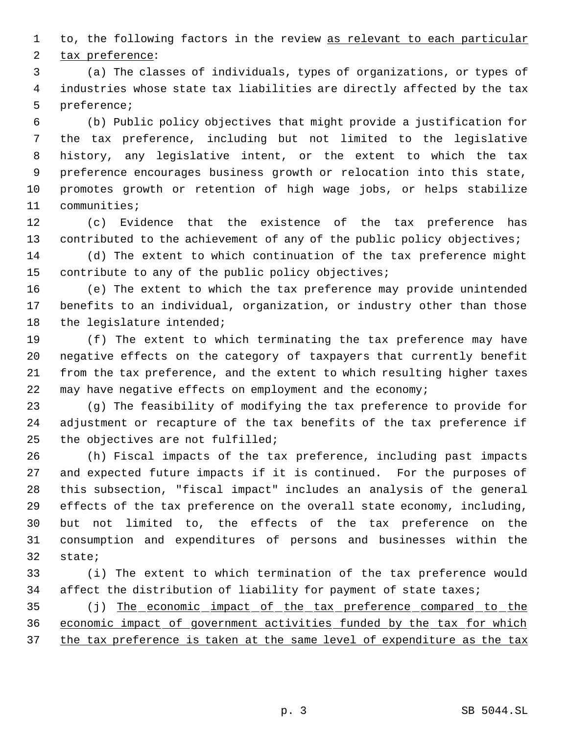1 to, the following factors in the review as relevant to each particular tax preference:

 (a) The classes of individuals, types of organizations, or types of industries whose state tax liabilities are directly affected by the tax preference;

 (b) Public policy objectives that might provide a justification for the tax preference, including but not limited to the legislative history, any legislative intent, or the extent to which the tax preference encourages business growth or relocation into this state, promotes growth or retention of high wage jobs, or helps stabilize communities;

 (c) Evidence that the existence of the tax preference has 13 contributed to the achievement of any of the public policy objectives;

 (d) The extent to which continuation of the tax preference might contribute to any of the public policy objectives;

 (e) The extent to which the tax preference may provide unintended benefits to an individual, organization, or industry other than those 18 the legislature intended;

 (f) The extent to which terminating the tax preference may have negative effects on the category of taxpayers that currently benefit from the tax preference, and the extent to which resulting higher taxes may have negative effects on employment and the economy;

 (g) The feasibility of modifying the tax preference to provide for adjustment or recapture of the tax benefits of the tax preference if the objectives are not fulfilled;

 (h) Fiscal impacts of the tax preference, including past impacts and expected future impacts if it is continued. For the purposes of this subsection, "fiscal impact" includes an analysis of the general effects of the tax preference on the overall state economy, including, but not limited to, the effects of the tax preference on the consumption and expenditures of persons and businesses within the state;

 (i) The extent to which termination of the tax preference would affect the distribution of liability for payment of state taxes;

 (j) The economic impact of the tax preference compared to the economic impact of government activities funded by the tax for which 37 the tax preference is taken at the same level of expenditure as the tax